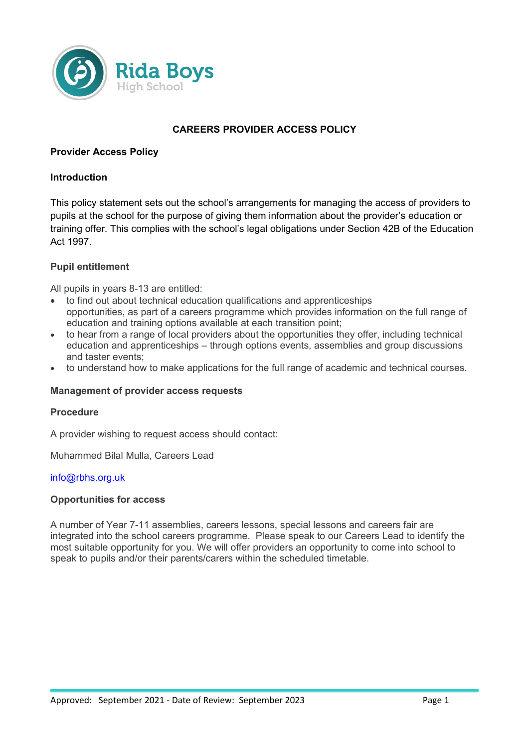

# **CAREERS PROVIDER ACCESS POLICY**

# **Provider Access Policy**

## **Introduction**

This policy statement sets out the school's arrangements for managing the access of providers to pupils at the school for the purpose of giving them information about the provider's education or training offer. This complies with the school's legal obligations under Section 42B of the Education Act 1997.

# **Pupil entitlement**

All pupils in years 8-13 are entitled:

- to find out about technical education qualifications and apprenticeships opportunities, as part of a careers programme which provides information on the full range of education and training options available at each transition point;
- to hear from a range of local providers about the opportunities they offer, including technical education and apprenticeships – through options events, assemblies and group discussions and taster events;
- to understand how to make applications for the full range of academic and technical courses.

#### **Management of provider access requests**

#### **Procedure**

A provider wishing to request access should contact:

Muhammed Bilal Mulla, Careers Lead

#### [info@rbhs.org.uk](mailto:info@rbhs.org.uk)

#### **Opportunities for access**

A number of Year 7-11 assemblies, careers lessons, special lessons and careers fair are integrated into the school careers programme. Please speak to our Careers Lead to identify the most suitable opportunity for you. We will offer providers an opportunity to come into school to speak to pupils and/or their parents/carers within the scheduled timetable.